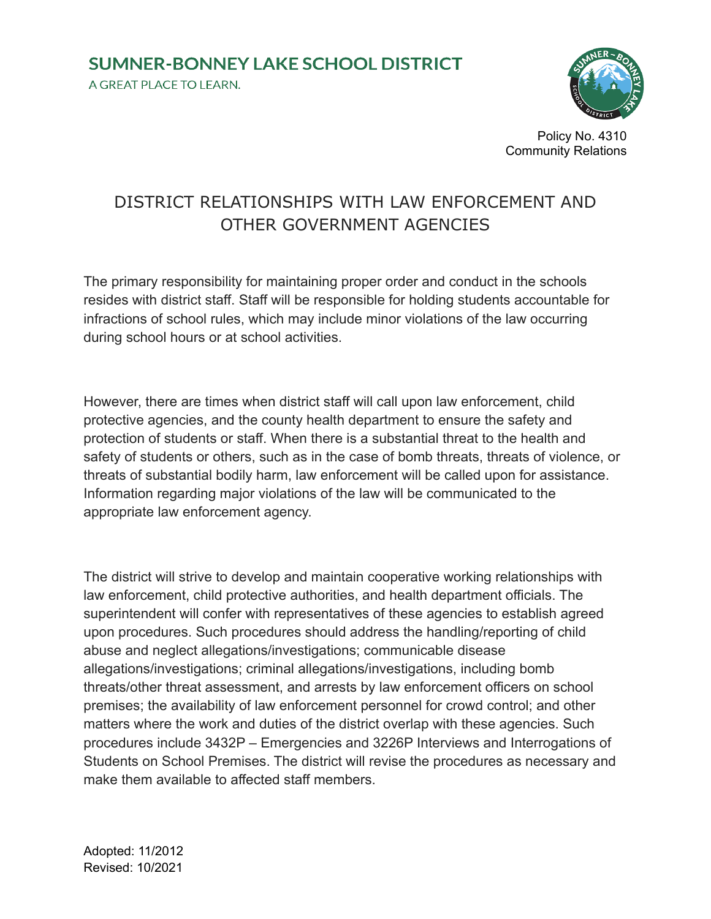## **SUMNER-BONNEY LAKE SCHOOL DISTRICT** A GREAT PLACE TO LEARN.



Policy No. 4310 Community Relations

## DISTRICT RELATIONSHIPS WITH LAW ENFORCEMENT AND OTHER GOVERNMENT AGENCIES

The primary responsibility for maintaining proper order and conduct in the schools resides with district staff. Staff will be responsible for holding students accountable for infractions of school rules, which may include minor violations of the law occurring during school hours or at school activities.

However, there are times when district staff will call upon law enforcement, child protective agencies, and the county health department to ensure the safety and protection of students or staff. When there is a substantial threat to the health and safety of students or others, such as in the case of bomb threats, threats of violence, or threats of substantial bodily harm, law enforcement will be called upon for assistance. Information regarding major violations of the law will be communicated to the appropriate law enforcement agency.

The district will strive to develop and maintain cooperative working relationships with law enforcement, child protective authorities, and health department officials. The superintendent will confer with representatives of these agencies to establish agreed upon procedures. Such procedures should address the handling/reporting of child abuse and neglect allegations/investigations; communicable disease allegations/investigations; criminal allegations/investigations, including bomb threats/other threat assessment, and arrests by law enforcement officers on school premises; the availability of law enforcement personnel for crowd control; and other matters where the work and duties of the district overlap with these agencies. Such procedures include 3432P – Emergencies and 3226P Interviews and Interrogations of Students on School Premises. The district will revise the procedures as necessary and make them available to affected staff members.

Adopted: 11/2012 Revised: 10/2021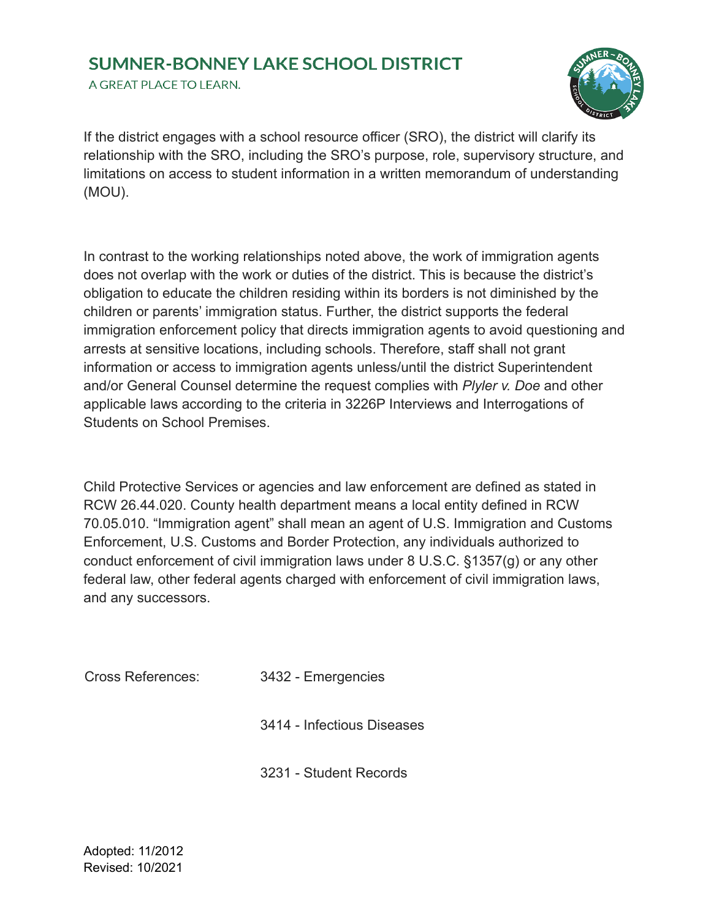## **SUMNER-BONNEY LAKE SCHOOL DISTRICT**

A GREAT PLACE TO LEARN.



If the district engages with a school resource officer (SRO), the district will clarify its relationship with the SRO, including the SRO's purpose, role, supervisory structure, and limitations on access to student information in a written memorandum of understanding (MOU).

In contrast to the working relationships noted above, the work of immigration agents does not overlap with the work or duties of the district. This is because the district's obligation to educate the children residing within its borders is not diminished by the children or parents' immigration status. Further, the district supports the federal immigration enforcement policy that directs immigration agents to avoid questioning and arrests at sensitive locations, including schools. Therefore, staff shall not grant information or access to immigration agents unless/until the district Superintendent and/or General Counsel determine the request complies with *Plyler v. Doe* and other applicable laws according to the criteria in 3226P Interviews and Interrogations of Students on School Premises.

Child Protective Services or agencies and law enforcement are defined as stated in RCW 26.44.020. County health department means a local entity defined in RCW 70.05.010. "Immigration agent" shall mean an agent of U.S. Immigration and Customs Enforcement, U.S. Customs and Border Protection, any individuals authorized to conduct enforcement of civil immigration laws under 8 U.S.C. §1357(g) or any other federal law, other federal agents charged with enforcement of civil immigration laws, and any successors.

Cross References: 3432 - Emergencies

3414 - Infectious Diseases

3231 - Student Records